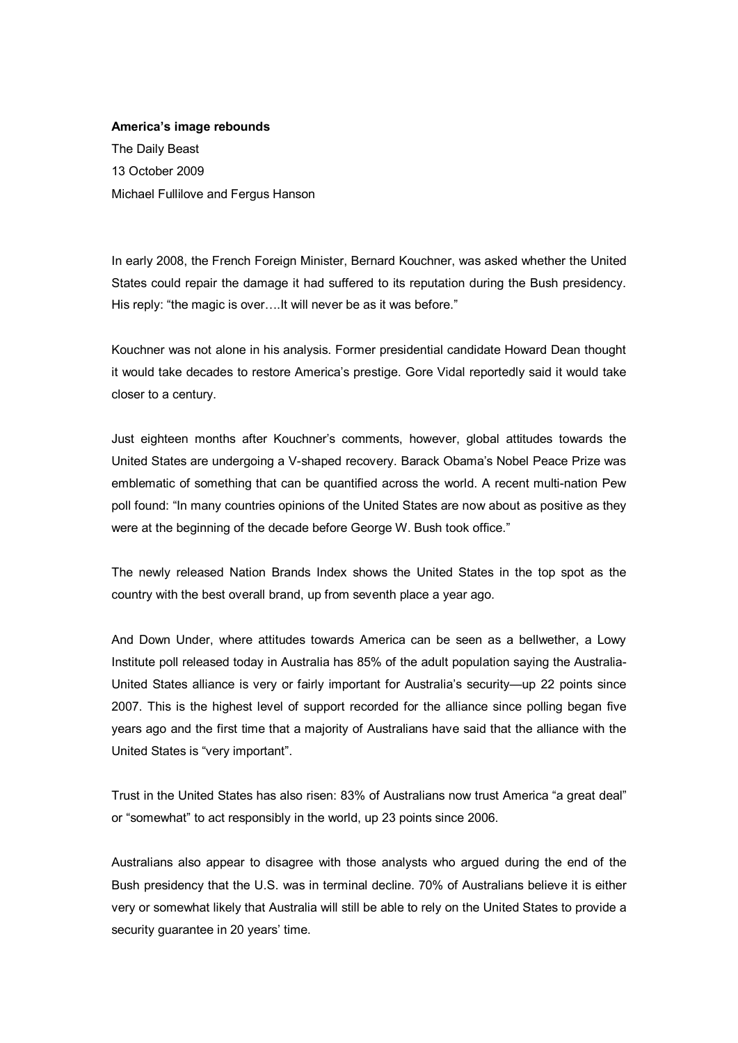## **America's image rebounds**

The Daily Beast 13 October 2009 Michael Fullilove and Fergus Hanson

In early 2008, the French Foreign Minister, Bernard Kouchner, was asked whether the United States could repair the damage it had suffered to its reputation during the Bush presidency. His reply: "the magic is over....It will never be as it was before."

Kouchner was not alone in his analysis. Former presidential candidate Howard Dean thought it would take decades to restore America's prestige. Gore Vidal reportedly said it would take closer to a century.

Just eighteen months after Kouchner's comments, however, global attitudes towards the United States are undergoing a V-shaped recovery. Barack Obama's Nobel Peace Prize was emblematic of something that can be quantified across the world. A recent multi-nation Pew poll found: "In many countries opinions of the United States are now about as positive as they were at the beginning of the decade before George W. Bush took office."

The newly released Nation Brands Index shows the United States in the top spot as the country with the best overall brand, up from seventh place a year ago.

And Down Under, where attitudes towards America can be seen as a bellwether, a Lowy Institute poll released today in Australia has 85% of the adult population saying the Australia United States alliance is very or fairly important for Australia's security—up 22 points since 2007. This is the highest level of support recorded for the alliance since polling began five years ago and the first time that a majority of Australians have said that the alliance with the United States is "very important".

Trust in the United States has also risen: 83% of Australians now trust America "a great deal" or "somewhat" to act responsibly in the world, up 23 points since 2006.

Australians also appear to disagree with those analysts who argued during the end of the Bush presidency that the U.S. was in terminal decline. 70% of Australians believe it is either very or somewhat likely that Australia will still be able to rely on the United States to provide a security guarantee in 20 years' time.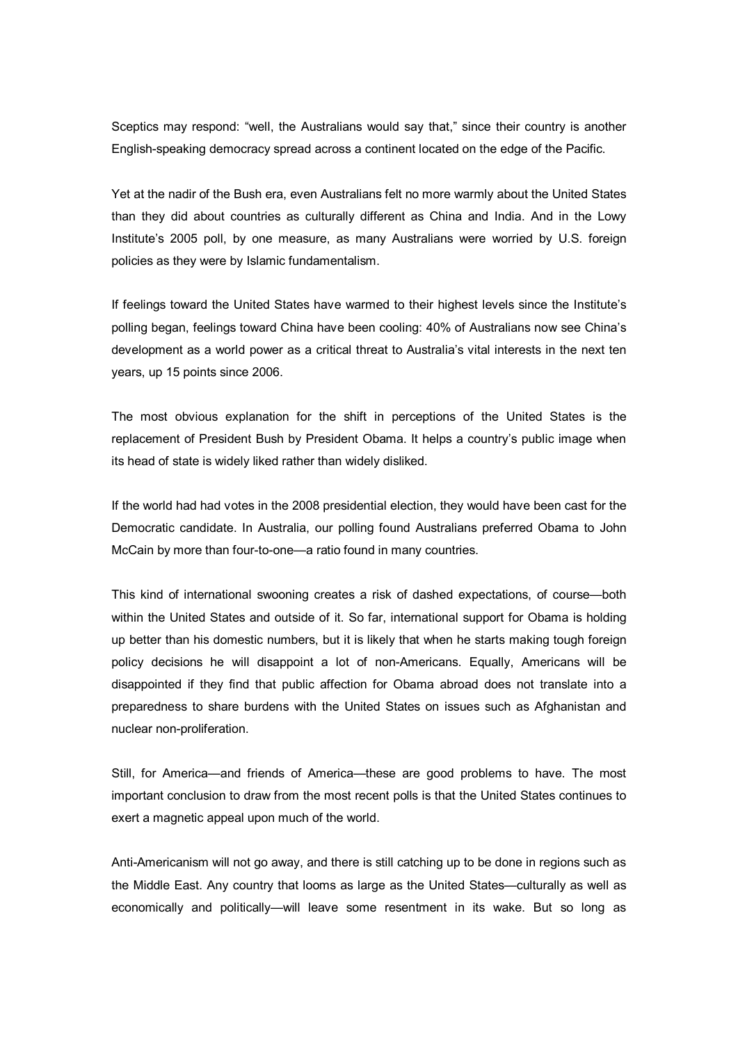Sceptics may respond: "well, the Australians would say that," since their country is another English-speaking democracy spread across a continent located on the edge of the Pacific.

Yet at the nadir of the Bush era, even Australians felt no more warmly about the United States than they did about countries as culturally different as China and India. And in the Lowy Institute's 2005 poll, by one measure, as many Australians were worried by U.S. foreign policies as they were by Islamic fundamentalism.

If feelings toward the United States have warmed to their highest levels since the Institute's polling began, feelings toward China have been cooling: 40% of Australians now see China's development as a world power as a critical threat to Australia's vital interests in the next ten years, up 15 points since 2006.

The most obvious explanation for the shift in perceptions of the United States is the replacement of President Bush by President Obama. It helps a country's public image when its head of state is widely liked rather than widely disliked.

If the world had had votes in the 2008 presidential election, they would have been cast for the Democratic candidate. In Australia, our polling found Australians preferred Obama to John McCain by more than four-to-one—a ratio found in many countries.

This kind of international swooning creates a risk of dashed expectations, of course—both within the United States and outside of it. So far, international support for Obama is holding up better than his domestic numbers, but it is likely that when he starts making tough foreign policy decisions he will disappoint a lot of nonAmericans. Equally, Americans will be disappointed if they find that public affection for Obama abroad does not translate into a preparedness to share burdens with the United States on issues such as Afghanistan and nuclear non-proliferation.

Still, for America—and friends of America—these are good problems to have. The most important conclusion to draw from the most recent polls is that the United States continues to exert a magnetic appeal upon much of the world.

Anti-Americanism will not go away, and there is still catching up to be done in regions such as the Middle East. Any country that looms as large as the United States—culturally as well as economically and politically—will leave some resentment in its wake. But so long as